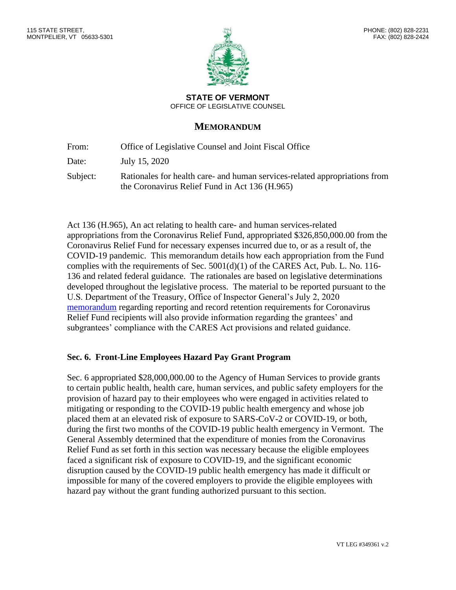**STATE OF VERMONT** OFFICE OF LEGISLATIVE COUNSEL

# **MEMORANDUM**

From: Office of Legislative Counsel and Joint Fiscal Office

Date: July 15, 2020

Subject: Rationales for health care- and human services-related appropriations from the Coronavirus Relief Fund in Act 136 (H.965)

Act 136 (H.965), An act relating to health care- and human services-related appropriations from the Coronavirus Relief Fund, appropriated \$326,850,000.00 from the Coronavirus Relief Fund for necessary expenses incurred due to, or as a result of, the COVID-19 pandemic. This memorandum details how each appropriation from the Fund complies with the requirements of Sec. 5001(d)(1) of the CARES Act, Pub. L. No. 116- 136 and related federal guidance. The rationales are based on legislative determinations developed throughout the legislative process. The material to be reported pursuant to the U.S. Department of the Treasury, Office of Inspector General's July 2, 2020 [memorandum](https://ljfo.vermont.gov/assets/Subjects/Congressional-and-Federal-Resources/0a54d2444a/Treasury-Office-of-Inspector-General-Coronavirus-Relief-Fund-Recipient-Reporting-and-Record-Keeping-Requirements-OIG-CA-20-021-003.pdf) regarding reporting and record retention requirements for Coronavirus Relief Fund recipients will also provide information regarding the grantees' and subgrantees' compliance with the CARES Act provisions and related guidance.

#### **Sec. 6. Front-Line Employees Hazard Pay Grant Program**

Sec. 6 appropriated \$28,000,000.00 to the Agency of Human Services to provide grants to certain public health, health care, human services, and public safety employers for the provision of hazard pay to their employees who were engaged in activities related to mitigating or responding to the COVID-19 public health emergency and whose job placed them at an elevated risk of exposure to SARS-CoV-2 or COVID-19, or both, during the first two months of the COVID-19 public health emergency in Vermont. The General Assembly determined that the expenditure of monies from the Coronavirus Relief Fund as set forth in this section was necessary because the eligible employees faced a significant risk of exposure to COVID-19, and the significant economic disruption caused by the COVID-19 public health emergency has made it difficult or impossible for many of the covered employers to provide the eligible employees with hazard pay without the grant funding authorized pursuant to this section.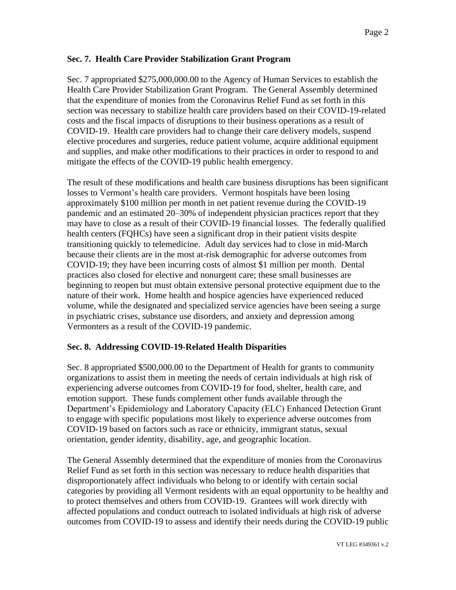## **Sec. 7. Health Care Provider Stabilization Grant Program**

Sec. 7 appropriated \$275,000,000.00 to the Agency of Human Services to establish the Health Care Provider Stabilization Grant Program. The General Assembly determined that the expenditure of monies from the Coronavirus Relief Fund as set forth in this section was necessary to stabilize health care providers based on their COVID-19-related costs and the fiscal impacts of disruptions to their business operations as a result of COVID-19. Health care providers had to change their care delivery models, suspend elective procedures and surgeries, reduce patient volume, acquire additional equipment and supplies, and make other modifications to their practices in order to respond to and mitigate the effects of the COVID-19 public health emergency.

The result of these modifications and health care business disruptions has been significant losses to Vermont's health care providers. Vermont hospitals have been losing approximately \$100 million per month in net patient revenue during the COVID-19 pandemic and an estimated 20–30% of independent physician practices report that they may have to close as a result of their COVID-19 financial losses. The federally qualified health centers (FQHCs) have seen a significant drop in their patient visits despite transitioning quickly to telemedicine. Adult day services had to close in mid-March because their clients are in the most at-risk demographic for adverse outcomes from COVID-19; they have been incurring costs of almost \$1 million per month. Dental practices also closed for elective and nonurgent care; these small businesses are beginning to reopen but must obtain extensive personal protective equipment due to the nature of their work. Home health and hospice agencies have experienced reduced volume, while the designated and specialized service agencies have been seeing a surge in psychiatric crises, substance use disorders, and anxiety and depression among Vermonters as a result of the COVID-19 pandemic.

## **Sec. 8. Addressing COVID-19-Related Health Disparities**

Sec. 8 appropriated \$500,000.00 to the Department of Health for grants to community organizations to assist them in meeting the needs of certain individuals at high risk of experiencing adverse outcomes from COVID-19 for food, shelter, health care, and emotion support. These funds complement other funds available through the Department's Epidemiology and Laboratory Capacity (ELC) Enhanced Detection Grant to engage with specific populations most likely to experience adverse outcomes from COVID-19 based on factors such as race or ethnicity, immigrant status, sexual orientation, gender identity, disability, age, and geographic location.

The General Assembly determined that the expenditure of monies from the Coronavirus Relief Fund as set forth in this section was necessary to reduce health disparities that disproportionately affect individuals who belong to or identify with certain social categories by providing all Vermont residents with an equal opportunity to be healthy and to protect themselves and others from COVID-19. Grantees will work directly with affected populations and conduct outreach to isolated individuals at high risk of adverse outcomes from COVID-19 to assess and identify their needs during the COVID-19 public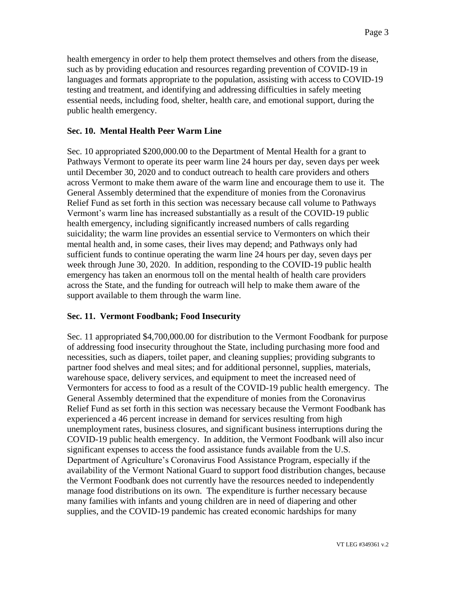health emergency in order to help them protect themselves and others from the disease, such as by providing education and resources regarding prevention of COVID-19 in languages and formats appropriate to the population, assisting with access to COVID-19 testing and treatment, and identifying and addressing difficulties in safely meeting essential needs, including food, shelter, health care, and emotional support, during the public health emergency.

#### **Sec. 10. Mental Health Peer Warm Line**

Sec. 10 appropriated \$200,000.00 to the Department of Mental Health for a grant to Pathways Vermont to operate its peer warm line 24 hours per day, seven days per week until December 30, 2020 and to conduct outreach to health care providers and others across Vermont to make them aware of the warm line and encourage them to use it. The General Assembly determined that the expenditure of monies from the Coronavirus Relief Fund as set forth in this section was necessary because call volume to Pathways Vermont's warm line has increased substantially as a result of the COVID-19 public health emergency, including significantly increased numbers of calls regarding suicidality; the warm line provides an essential service to Vermonters on which their mental health and, in some cases, their lives may depend; and Pathways only had sufficient funds to continue operating the warm line 24 hours per day, seven days per week through June 30, 2020. In addition, responding to the COVID-19 public health emergency has taken an enormous toll on the mental health of health care providers across the State, and the funding for outreach will help to make them aware of the support available to them through the warm line.

#### **Sec. 11. Vermont Foodbank; Food Insecurity**

Sec. 11 appropriated \$4,700,000.00 for distribution to the Vermont Foodbank for purpose of addressing food insecurity throughout the State, including purchasing more food and necessities, such as diapers, toilet paper, and cleaning supplies; providing subgrants to partner food shelves and meal sites; and for additional personnel, supplies, materials, warehouse space, delivery services, and equipment to meet the increased need of Vermonters for access to food as a result of the COVID-19 public health emergency. The General Assembly determined that the expenditure of monies from the Coronavirus Relief Fund as set forth in this section was necessary because the Vermont Foodbank has experienced a 46 percent increase in demand for services resulting from high unemployment rates, business closures, and significant business interruptions during the COVID-19 public health emergency. In addition, the Vermont Foodbank will also incur significant expenses to access the food assistance funds available from the U.S. Department of Agriculture's Coronavirus Food Assistance Program, especially if the availability of the Vermont National Guard to support food distribution changes, because the Vermont Foodbank does not currently have the resources needed to independently manage food distributions on its own. The expenditure is further necessary because many families with infants and young children are in need of diapering and other supplies, and the COVID-19 pandemic has created economic hardships for many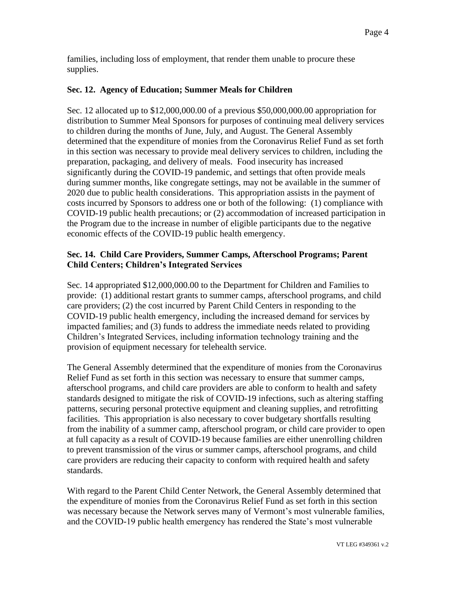families, including loss of employment, that render them unable to procure these supplies.

## **Sec. 12. Agency of Education; Summer Meals for Children**

Sec. 12 allocated up to \$12,000,000.00 of a previous \$50,000,000.00 appropriation for distribution to Summer Meal Sponsors for purposes of continuing meal delivery services to children during the months of June, July, and August. The General Assembly determined that the expenditure of monies from the Coronavirus Relief Fund as set forth in this section was necessary to provide meal delivery services to children, including the preparation, packaging, and delivery of meals. Food insecurity has increased significantly during the COVID-19 pandemic, and settings that often provide meals during summer months, like congregate settings, may not be available in the summer of 2020 due to public health considerations. This appropriation assists in the payment of costs incurred by Sponsors to address one or both of the following: (1) compliance with COVID-19 public health precautions; or (2) accommodation of increased participation in the Program due to the increase in number of eligible participants due to the negative economic effects of the COVID-19 public health emergency.

## **Sec. 14. Child Care Providers, Summer Camps, Afterschool Programs; Parent Child Centers; Children's Integrated Services**

Sec. 14 appropriated \$12,000,000.00 to the Department for Children and Families to provide: (1) additional restart grants to summer camps, afterschool programs, and child care providers; (2) the cost incurred by Parent Child Centers in responding to the COVID-19 public health emergency, including the increased demand for services by impacted families; and (3) funds to address the immediate needs related to providing Children's Integrated Services, including information technology training and the provision of equipment necessary for telehealth service.

The General Assembly determined that the expenditure of monies from the Coronavirus Relief Fund as set forth in this section was necessary to ensure that summer camps, afterschool programs, and child care providers are able to conform to health and safety standards designed to mitigate the risk of COVID-19 infections, such as altering staffing patterns, securing personal protective equipment and cleaning supplies, and retrofitting facilities. This appropriation is also necessary to cover budgetary shortfalls resulting from the inability of a summer camp, afterschool program, or child care provider to open at full capacity as a result of COVID-19 because families are either unenrolling children to prevent transmission of the virus or summer camps, afterschool programs, and child care providers are reducing their capacity to conform with required health and safety standards.

With regard to the Parent Child Center Network, the General Assembly determined that the expenditure of monies from the Coronavirus Relief Fund as set forth in this section was necessary because the Network serves many of Vermont's most vulnerable families, and the COVID-19 public health emergency has rendered the State's most vulnerable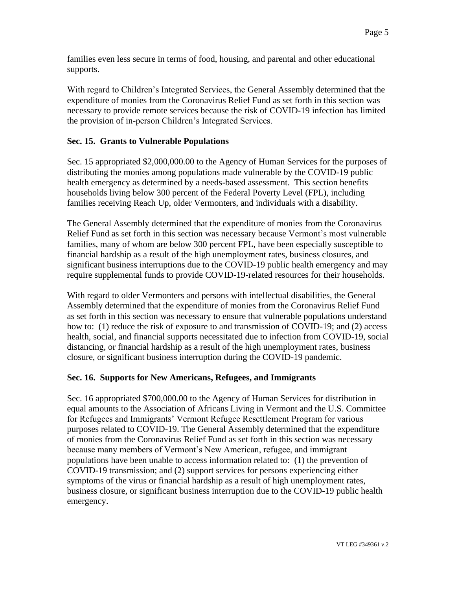families even less secure in terms of food, housing, and parental and other educational supports.

With regard to Children's Integrated Services, the General Assembly determined that the expenditure of monies from the Coronavirus Relief Fund as set forth in this section was necessary to provide remote services because the risk of COVID-19 infection has limited the provision of in-person Children's Integrated Services.

## **Sec. 15. Grants to Vulnerable Populations**

Sec. 15 appropriated \$2,000,000.00 to the Agency of Human Services for the purposes of distributing the monies among populations made vulnerable by the COVID-19 public health emergency as determined by a needs-based assessment. This section benefits households living below 300 percent of the Federal Poverty Level (FPL), including families receiving Reach Up, older Vermonters, and individuals with a disability.

The General Assembly determined that the expenditure of monies from the Coronavirus Relief Fund as set forth in this section was necessary because Vermont's most vulnerable families, many of whom are below 300 percent FPL, have been especially susceptible to financial hardship as a result of the high unemployment rates, business closures, and significant business interruptions due to the COVID-19 public health emergency and may require supplemental funds to provide COVID-19-related resources for their households.

With regard to older Vermonters and persons with intellectual disabilities, the General Assembly determined that the expenditure of monies from the Coronavirus Relief Fund as set forth in this section was necessary to ensure that vulnerable populations understand how to: (1) reduce the risk of exposure to and transmission of COVID-19; and (2) access health, social, and financial supports necessitated due to infection from COVID-19, social distancing, or financial hardship as a result of the high unemployment rates, business closure, or significant business interruption during the COVID-19 pandemic.

#### **Sec. 16. Supports for New Americans, Refugees, and Immigrants**

Sec. 16 appropriated \$700,000.00 to the Agency of Human Services for distribution in equal amounts to the Association of Africans Living in Vermont and the U.S. Committee for Refugees and Immigrants' Vermont Refugee Resettlement Program for various purposes related to COVID-19. The General Assembly determined that the expenditure of monies from the Coronavirus Relief Fund as set forth in this section was necessary because many members of Vermont's New American, refugee, and immigrant populations have been unable to access information related to: (1) the prevention of COVID-19 transmission; and (2) support services for persons experiencing either symptoms of the virus or financial hardship as a result of high unemployment rates, business closure, or significant business interruption due to the COVID-19 public health emergency.